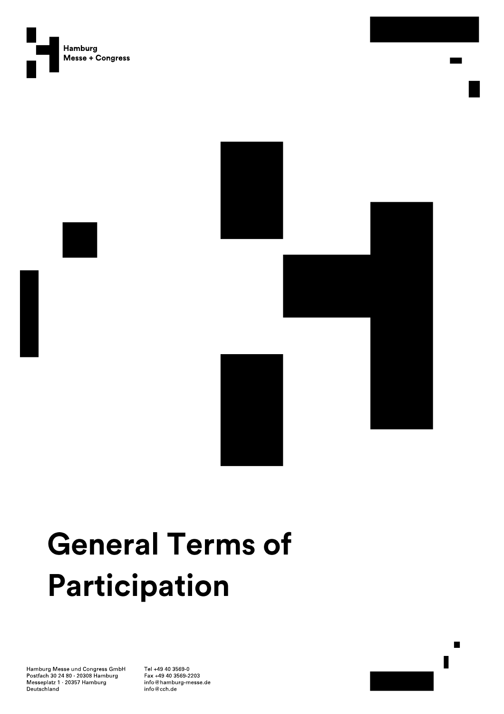



# **General Terms of** Participation

Hamburg Messe und Congress GmbH Postfach 30 24 80 - 20308 Hamburg<br>Messeplatz 1 - 20357 Hamburg Deutschland

Tel +49 40 3569-0 Fax +49 40 3569-2203 info@hamburg-messe.de  $\mathsf{info}@{\mathsf{cch}}$ de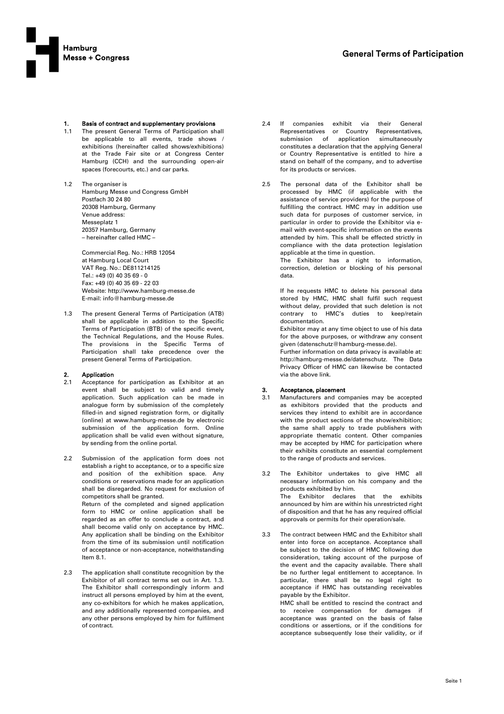

### 1. Basis of contract and supplementary provisions

- 1.1 The present General Terms of Participation shall be applicable to all events, trade shows / exhibitions (hereinafter called shows/exhibitions) at the Trade Fair site or at Congress Center Hamburg (CCH) and the surrounding open-air spaces (forecourts, etc.) and car parks.
- 1.2 The organiser is Hamburg Messe und Congress GmbH Postfach 30 24 80 20308 Hamburg, Germany Venue address: Messenlatz 1 20357 Hamburg, Germany – hereinafter called HMC –

Commercial Reg. No.: HRB 12054 at Hamburg Local Court VAT Reg. No.: DE811214125 Tel.: +49 (0) 40 35 69 - 0 Fax: +49 (0) 40 35 69 - 22 03 Website: http://www.hamburg-messe.de E-mail: info@hamburg-messe.de

1.3 The present General Terms of Participation (ATB) shall be applicable in addition to the Specific Terms of Participation (BTB) of the specific event, the Technical Regulations, and the House Rules. The provisions in the Specific Terms of Participation shall take precedence over the present General Terms of Participation.

### 2. Application

- 2.1 Acceptance for participation as Exhibitor at an event shall be subject to valid and timely application. Such application can be made in analogue form by submission of the completely filled-in and signed registration form, or digitally (online) at www.hamburg-messe.de by electronic submission of the application form. Online application shall be valid even without signature, by sending from the online portal.
- 2.2 Submission of the application form does not establish a right to acceptance, or to a specific size and position of the exhibition space. Any conditions or reservations made for an application shall be disregarded. No request for exclusion of competitors shall be granted. Return of the completed and signed application form to HMC or online application shall be

regarded as an offer to conclude a contract, and shall become valid only on acceptance by HMC. Any application shall be binding on the Exhibitor from the time of its submission until notification of acceptance or non-acceptance, notwithstanding Item 8.1.

2.3 The application shall constitute recognition by the Exhibitor of all contract terms set out in Art. 1.3. The Exhibitor shall correspondingly inform and instruct all persons employed by him at the event, any co-exhibitors for which he makes application, and any additionally represented companies, and any other persons employed by him for fulfilment of contract.

- 2.4 If companies exhibit via their General Representatives or Country Representatives, submission of application simultaneously constitutes a declaration that the applying General or Country Representative is entitled to hire a stand on behalf of the company, and to advertise for its products or services.
- 2.5 The personal data of the Exhibitor shall be processed by HMC (if applicable with the assistance of service providers) for the purpose of fulfilling the contract. HMC may in addition use such data for purposes of customer service, in particular in order to provide the Exhibitor via email with event-specific information on the events attended by him. This shall be effected strictly in compliance with the data protection legislation applicable at the time in question.

The Exhibitor has a right to information, correction, deletion or blocking of his personal data.

If he requests HMC to delete his personal data stored by HMC, HMC shall fulfil such request without delay, provided that such deletion is not contrary to HMC's duties to keep/retain documentation.

Exhibitor may at any time object to use of his data for the above purposes, or withdraw any consent given (datenschutz@hamburg-messe.de).

Further information on data privacy is available at: http://hamburg-messe.de/datenschutz. The Data Privacy Officer of HMC can likewise be contacted via the above link.

### 3. Acceptance, placement

- 3.1 Manufacturers and companies may be accepted as exhibitors provided that the products and services they intend to exhibit are in accordance with the product sections of the show/exhibition; the same shall apply to trade publishers with appropriate thematic content. Other companies may be accepted by HMC for participation where their exhibits constitute an essential complement to the range of products and services.
- 3.2 The Exhibitor undertakes to give HMC all necessary information on his company and the products exhibited by him. The Exhibitor declares that the exhibits announced by him are within his unrestricted right of disposition and that he has any required official approvals or permits for their operation/sale.
- 3.3 The contract between HMC and the Exhibitor shall enter into force on acceptance. Acceptance shall be subject to the decision of HMC following due consideration, taking account of the purpose of the event and the capacity available. There shall be no further legal entitlement to acceptance. In particular, there shall be no legal right to acceptance if HMC has outstanding receivables payable by the Exhibitor.

HMC shall be entitled to rescind the contract and to receive compensation for damages if acceptance was granted on the basis of false conditions or assertions, or if the conditions for acceptance subsequently lose their validity, or if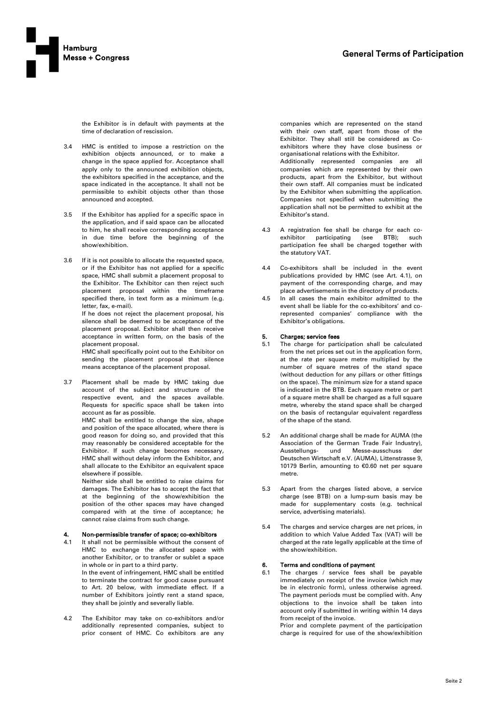

the Exhibitor is in default with payments at the time of declaration of rescission.

- 3.4 HMC is entitled to impose a restriction on the exhibition objects announced, or to make a change in the space applied for. Acceptance shall apply only to the announced exhibition objects, the exhibitors specified in the acceptance, and the space indicated in the acceptance. It shall not be permissible to exhibit objects other than those announced and accepted.
- 3.5 If the Exhibitor has applied for a specific space in the application, and if said space can be allocated to him, he shall receive corresponding acceptance in due time before the beginning of the show/exhibition.
- 3.6 If it is not possible to allocate the requested space, or if the Exhibitor has not applied for a specific space, HMC shall submit a placement proposal to the Exhibitor. The Exhibitor can then reject such placement proposal within the timeframe specified there, in text form as a minimum (e.g. letter, fax, e-mail).

If he does not reject the placement proposal, his silence shall be deemed to be acceptance of the placement proposal. Exhibitor shall then receive acceptance in written form, on the basis of the placement proposal.

HMC shall specifically point out to the Exhibitor on sending the placement proposal that silence means acceptance of the placement proposal.

3.7 Placement shall be made by HMC taking due account of the subject and structure of the respective event, and the spaces available. Requests for specific space shall be taken into account as far as possible.

> HMC shall be entitled to change the size, shape and position of the space allocated, where there is good reason for doing so, and provided that this may reasonably be considered acceptable for the Exhibitor. If such change becomes necessary, HMC shall without delay inform the Exhibitor, and shall allocate to the Exhibitor an equivalent space elsewhere if possible.

> Neither side shall be entitled to raise claims for damages. The Exhibitor has to accept the fact that at the beginning of the show/exhibition the position of the other spaces may have changed compared with at the time of acceptance; he cannot raise claims from such change.

### Non-permissible transfer of space; co-exhibitors

- 4.1 It shall not be permissible without the consent of HMC to exchange the allocated space with another Exhibitor, or to transfer or sublet a space in whole or in part to a third party. In the event of infringement, HMC shall be entitled to terminate the contract for good cause pursuant to Art. 20 below, with immediate effect. If a number of Exhibitors jointly rent a stand space, they shall be jointly and severally liable.
- 4.2 The Exhibitor may take on co-exhibitors and/or additionally represented companies, subject to prior consent of HMC. Co exhibitors are any

companies which are represented on the stand with their own staff, apart from those of the Exhibitor. They shall still be considered as Coexhibitors where they have close business or organisational relations with the Exhibitor. Additionally represented companies are all companies which are represented by their own products, apart from the Exhibitor, but without their own staff. All companies must be indicated by the Exhibitor when submitting the application. Companies not specified when submitting the application shall not be permitted to exhibit at the Exhibitor's stand.

- 4.3 A registration fee shall be charge for each co-<br>exhibitor participating (see BTB); such exhibitor participating (see BTB); such participation fee shall be charged together with the statutory VAT.
- 4.4 Co-exhibitors shall be included in the event publications provided by HMC (see Art. 4.1), on payment of the corresponding charge, and may place advertisements in the directory of products.
- 4.5 In all cases the main exhibitor admitted to the event shall be liable for the co-exhibitors' and corepresented companies' compliance with the Exhibitor's obligations.

### 5. Charges; service fees

- 5.1 The charge for participation shall be calculated from the net prices set out in the application form, at the rate per square metre multiplied by the number of square metres of the stand space (without deduction for any pillars or other fittings on the space). The minimum size for a stand space is indicated in the BTB. Each square metre or part of a square metre shall be charged as a full square metre, whereby the stand space shall be charged on the basis of rectangular equivalent regardless of the shape of the stand.
- 5.2 An additional charge shall be made for AUMA (the Association of the German Trade Fair Industry), Ausstellungs- und Messe-ausschuss der Deutschen Wirtschaft e.V. (AUMA), Littenstrasse 9, 10179 Berlin, amounting to €0.60 net per square metre.
- 5.3 Apart from the charges listed above, a service charge (see BTB) on a lump-sum basis may be made for supplementary costs (e.g. technical service, advertising materials).
- 5.4 The charges and service charges are net prices, in addition to which Value Added Tax (VAT) will be charged at the rate legally applicable at the time of the show/exhibition.

### 6. Terms and conditions of payment

6.1 The charges / service fees shall be payable immediately on receipt of the invoice (which may be in electronic form), unless otherwise agreed. The payment periods must be complied with. Any objections to the invoice shall be taken into account only if submitted in writing within 14 days from receipt of the invoice.

Prior and complete payment of the participation charge is required for use of the show/exhibition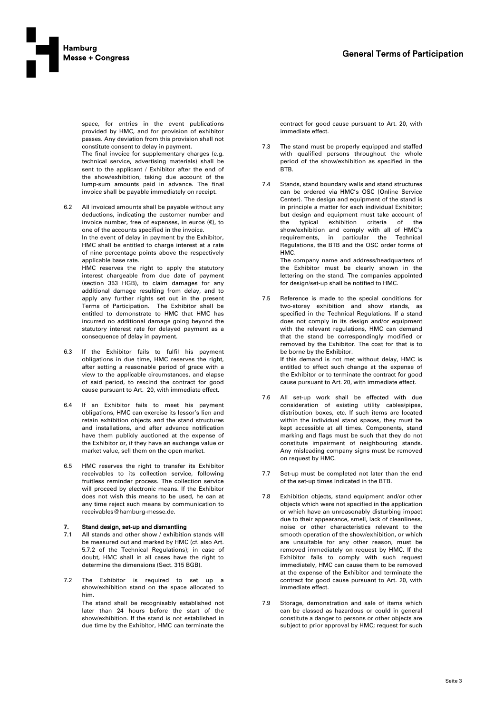

space, for entries in the event publications provided by HMC, and for provision of exhibitor passes. Any deviation from this provision shall not constitute consent to delay in payment.

The final invoice for supplementary charges (e.g. technical service, advertising materials) shall be sent to the applicant / Exhibitor after the end of the show/exhibition, taking due account of the lump-sum amounts paid in advance. The final invoice shall be payable immediately on receipt.

6.2 All invoiced amounts shall be payable without any deductions, indicating the customer number and invoice number, free of expenses, in euros  $(E)$ , to one of the accounts specified in the invoice. In the event of delay in payment by the Exhibitor, HMC shall be entitled to charge interest at a rate

> of nine percentage points above the respectively applicable base rate.

HMC reserves the right to apply the statutory interest chargeable from due date of payment (section 353 HGB), to claim damages for any additional damage resulting from delay, and to apply any further rights set out in the present Terms of Participation. The Exhibitor shall be entitled to demonstrate to HMC that HMC has incurred no additional damage going beyond the statutory interest rate for delayed payment as a consequence of delay in payment.

- 6.3 If the Exhibitor fails to fulfil his payment obligations in due time, HMC reserves the right, after setting a reasonable period of grace with a view to the applicable circumstances, and elapse of said period, to rescind the contract for good cause pursuant to Art. 20, with immediate effect.
- 6.4 If an Exhibitor fails to meet his payment obligations, HMC can exercise its lessor's lien and retain exhibition objects and the stand structures and installations, and after advance notification have them publicly auctioned at the expense of the Exhibitor or, if they have an exchange value or market value, sell them on the open market.
- 6.5 HMC reserves the right to transfer its Exhibitor receivables to its collection service, following fruitless reminder process. The collection service will proceed by electronic means. If the Exhibitor does not wish this means to be used, he can at any time reject such means by communication to receivables@hamburg-messe.de.

### 7. Stand design, set-up and dismantling

- 7.1 All stands and other show / exhibition stands will be measured out and marked by HMC (cf. also Art. 5.7.2 of the Technical Regulations); in case of doubt, HMC shall in all cases have the right to determine the dimensions (Sect. 315 BGB).
- 7.2 The Exhibitor is required to set up show/exhibition stand on the space allocated to him. The stand shall be recognisably established not later than 24 hours before the start of the show/exhibition. If the stand is not established in due time by the Exhibitor, HMC can terminate the

contract for good cause pursuant to Art. 20, with immediate effect.

- 7.3 The stand must be properly equipped and staffed with qualified persons throughout the whole period of the show/exhibition as specified in the BTB.
- 7.4 Stands, stand boundary walls and stand structures can be ordered via HMC's OSC (Online Service Center). The design and equipment of the stand is in principle a matter for each individual Exhibitor; but design and equipment must take account of the typical exhibition criteria of the show/exhibition and comply with all of HMC's requirements, in particular the Technical Regulations, the BTB and the OSC order forms of HMC. The company name and address/headquarters of

the Exhibitor must be clearly shown in the lettering on the stand. The companies appointed for design/set-up shall be notified to HMC.

- 7.5 Reference is made to the special conditions for two-storey exhibition and show stands, as specified in the Technical Regulations. If a stand does not comply in its design and/or equipment with the relevant regulations, HMC can demand that the stand be correspondingly modified or removed by the Exhibitor. The cost for that is to be borne by the Exhibitor. If this demand is not met without delay, HMC is entitled to effect such change at the expense of the Exhibitor or to terminate the contract for good cause pursuant to Art. 20, with immediate effect.
- 7.6 All set-up work shall be effected with due consideration of existing utility cables/pipes, distribution boxes, etc. If such items are located within the individual stand spaces, they must be kept accessible at all times. Components, stand marking and flags must be such that they do not constitute impairment of neighbouring stands. Any misleading company signs must be removed on request by HMC.
- 7.7 Set-up must be completed not later than the end of the set-up times indicated in the BTB.
- 7.8 Exhibition objects, stand equipment and/or other objects which were not specified in the application or which have an unreasonably disturbing impact due to their appearance, smell, lack of cleanliness, noise or other characteristics relevant to the smooth operation of the show/exhibition, or which are unsuitable for any other reason, must be removed immediately on request by HMC. If the Exhibitor fails to comply with such request immediately, HMC can cause them to be removed at the expense of the Exhibitor and terminate the contract for good cause pursuant to Art. 20, with immediate effect.
- 7.9 Storage, demonstration and sale of items which can be classed as hazardous or could in general constitute a danger to persons or other objects are subject to prior approval by HMC; request for such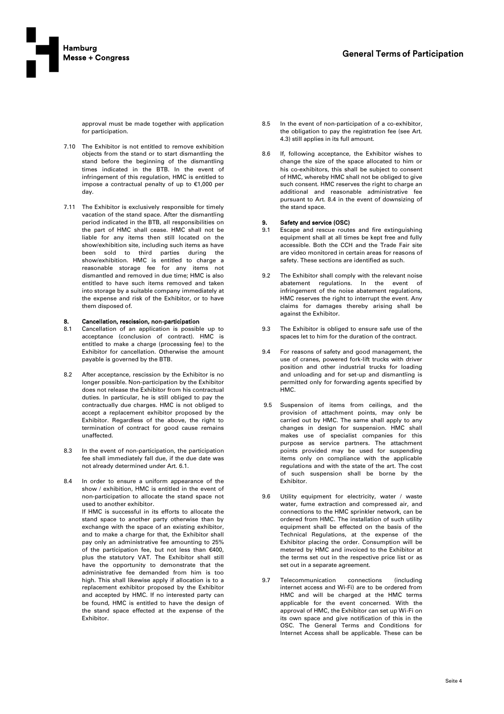

approval must be made together with application for participation.

- 7.10 The Exhibitor is not entitled to remove exhibition objects from the stand or to start dismantling the stand before the beginning of the dismantling times indicated in the BTB. In the event of infringement of this regulation, HMC is entitled to impose a contractual penalty of up to €1,000 per day.
- 7.11 The Exhibitor is exclusively responsible for timely vacation of the stand space. After the dismantling period indicated in the BTB, all responsibilities on the part of HMC shall cease. HMC shall not be liable for any items then still located on the show/exhibition site, including such items as have been sold to third parties during the show/exhibition. HMC is entitled to charge a reasonable storage fee for any items not dismantled and removed in due time; HMC is also entitled to have such items removed and taken into storage by a suitable company immediately at the expense and risk of the Exhibitor, or to have them disposed of.

# 8. Cancellation, rescission, non-participation<br>8.1 Cancellation of an application is possible

- Cancellation of an application is possible up to acceptance (conclusion of contract). HMC is entitled to make a charge (processing fee) to the Exhibitor for cancellation. Otherwise the amount payable is governed by the BTB.
- 8.2 After acceptance, rescission by the Exhibitor is no longer possible. Non-participation by the Exhibitor does not release the Exhibitor from his contractual duties. In particular, he is still obliged to pay the contractually due charges. HMC is not obliged to accept a replacement exhibitor proposed by the Exhibitor. Regardless of the above, the right to termination of contract for good cause remains unaffected.
- 8.3 In the event of non-participation, the participation fee shall immediately fall due, if the due date was not already determined under Art. 6.1.
- 8.4 In order to ensure a uniform appearance of the show / exhibition, HMC is entitled in the event of non-participation to allocate the stand space not used to another exhibitor. If HMC is successful in its efforts to allocate the stand space to another party otherwise than by exchange with the space of an existing exhibitor, and to make a charge for that, the Exhibitor shall pay only an administrative fee amounting to 25% of the participation fee, but not less than €400, plus the statutory VAT. The Exhibitor shall still have the opportunity to demonstrate that the administrative fee demanded from him is too high. This shall likewise apply if allocation is to a replacement exhibitor proposed by the Exhibitor and accepted by HMC. If no interested party can be found, HMC is entitled to have the design of the stand space effected at the expense of the Exhibitor.
- 8.5 In the event of non-participation of a co-exhibitor, the obligation to pay the registration fee (see Art. 4.3) still applies in its full amount.
- 8.6 If, following acceptance, the Exhibitor wishes to change the size of the space allocated to him or his co-exhibitors, this shall be subject to consent of HMC, whereby HMC shall not be obliged to give such consent. HMC reserves the right to charge an additional and reasonable administrative fee pursuant to Art. 8.4 in the event of downsizing of the stand space.

# 9. Safety and service  $(OSC)$ <br>9.1 Escape and rescue route

- Escape and rescue routes and fire extinguishing equipment shall at all times be kept free and fully accessible. Both the CCH and the Trade Fair site are video monitored in certain areas for reasons of safety. These sections are identified as such.
- 9.2 The Exhibitor shall comply with the relevant noise abatement regulations. In the event of infringement of the noise abatement regulations, HMC reserves the right to interrupt the event. Any claims for damages thereby arising shall be against the Exhibitor.
- 9.3 The Exhibitor is obliged to ensure safe use of the spaces let to him for the duration of the contract.
- 9.4 For reasons of safety and good management, the use of cranes, powered fork-lift trucks with driver position and other industrial trucks for loading and unloading and for set-up and dismantling is permitted only for forwarding agents specified by HMC.
- 9.5 Suspension of items from ceilings, and the provision of attachment points, may only be carried out by HMC. The same shall apply to any changes in design for suspension. HMC shall makes use of specialist companies for this purpose as service partners. The attachment points provided may be used for suspending items only on compliance with the applicable regulations and with the state of the art. The cost of such suspension shall be borne by the Exhibitor.
- 9.6 Utility equipment for electricity, water / waste water, fume extraction and compressed air, and connections to the HMC sprinkler network, can be ordered from HMC. The installation of such utility equipment shall be effected on the basis of the Technical Regulations, at the expense of the Exhibitor placing the order. Consumption will be metered by HMC and invoiced to the Exhibitor at the terms set out in the respective price list or as set out in a separate agreement.
- 9.7 Telecommunication connections (including internet access and Wi-Fi) are to be ordered from HMC and will be charged at the HMC terms applicable for the event concerned. With the approval of HMC, the Exhibitor can set up Wi-Fi on its own space and give notification of this in the OSC. The General Terms and Conditions for Internet Access shall be applicable. These can be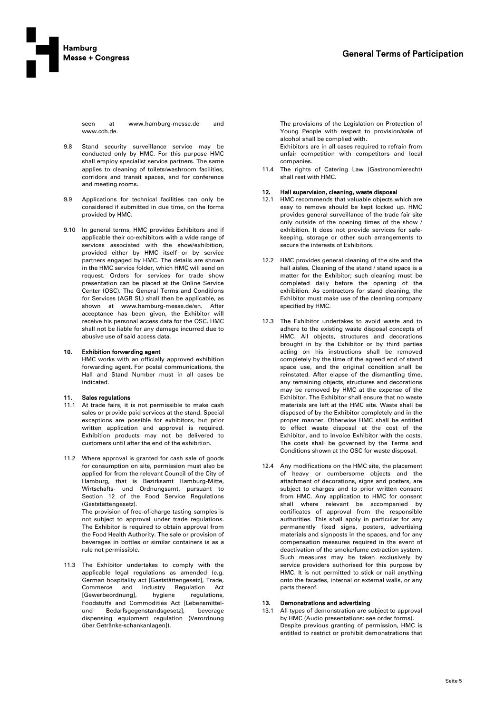

seen at www.hamburg-messe.de and www.cch.de.

- 9.8 Stand security surveillance service may be conducted only by HMC. For this purpose HMC shall employ specialist service partners. The same applies to cleaning of toilets/washroom facilities, corridors and transit spaces, and for conference and meeting rooms.
- 9.9 Applications for technical facilities can only be considered if submitted in due time, on the forms provided by HMC.
- 9.10 In general terms, HMC provides Exhibitors and if applicable their co-exhibitors with a wide range of services associated with the show/exhibition, provided either by HMC itself or by service partners engaged by HMC. The details are shown in the HMC service folder, which HMC will send on request. Orders for services for trade show presentation can be placed at the Online Service Center (OSC). The General Terms and Conditions for Services (AGB SL) shall then be applicable, as shown at www.hamburg-messe.de/en. After acceptance has been given, the Exhibitor will receive his personal access data for the OSC. HMC shall not be liable for any damage incurred due to abusive use of said access data.

### 10. Exhibition forwarding agent

HMC works with an officially approved exhibition forwarding agent. For postal communications, the Hall and Stand Number must in all cases be indicated.

### 11. Sales regulations

- 11.1 At trade fairs, it is not permissible to make cash sales or provide paid services at the stand. Special exceptions are possible for exhibitors, but prior written application and approval is required. Exhibition products may not be delivered to customers until after the end of the exhibition.
- 11.2 Where approval is granted for cash sale of goods for consumption on site, permission must also be applied for from the relevant Council of the City of Hamburg, that is Bezirksamt Hamburg-Mitte, Wirtschafts- und Ordnungsamt, pursuant to Section 12 of the Food Service Regulations (Gaststättengesetz). The provision of free-of-charge tasting samples is not subject to approval under trade regulations. The Exhibitor is required to obtain approval from the Food Health Authority. The sale or provision of beverages in bottles or similar containers is as a rule not permissible.
- 11.3 The Exhibitor undertakes to comply with the applicable legal regulations as amended (e.g. German hospitality act [Gaststättengesetz], Trade, Commerce and Industry Regulation Act [Gewerbeordnung], hygiene regulations, Foodstuffs and Commodities Act [Lebensmittelund Bedarfsgegenstandsgesetz], beverage dispensing equipment regulation (Verordnung über Getränke-schankanlagen]).

The provisions of the Legislation on Protection of Young People with respect to provision/sale of alcohol shall be complied with.

Exhibitors are in all cases required to refrain from unfair competition with competitors and local companies.

11.4 The rights of Catering Law (Gastronomierecht) shall rest with HMC.

### 12. Hall supervision, cleaning, waste disposal

- 12.1 HMC recommends that valuable objects which are easy to remove should be kept locked up. HMC provides general surveillance of the trade fair site only outside of the opening times of the show / exhibition. It does not provide services for safekeeping, storage or other such arrangements to secure the interests of Exhibitors.
- 12.2 HMC provides general cleaning of the site and the hall aisles. Cleaning of the stand / stand space is a matter for the Exhibitor; such cleaning must be completed daily before the opening of the exhibition. As contractors for stand cleaning, the Exhibitor must make use of the cleaning company specified by HMC.
- 12.3 The Exhibitor undertakes to avoid waste and to adhere to the existing waste disposal concepts of HMC. All objects, structures and decorations brought in by the Exhibitor or by third parties acting on his instructions shall be removed completely by the time of the agreed end of stand space use, and the original condition shall be reinstated. After elapse of the dismantling time, any remaining objects, structures and decorations may be removed by HMC at the expense of the Exhibitor. The Exhibitor shall ensure that no waste materials are left at the HMC site. Waste shall be disposed of by the Exhibitor completely and in the proper manner. Otherwise HMC shall be entitled to effect waste disposal at the cost of the Exhibitor, and to invoice Exhibitor with the costs. The costs shall be governed by the Terms and Conditions shown at the OSC for waste disposal.
- 12.4 Any modifications on the HMC site, the placement of heavy or cumbersome objects and the attachment of decorations, signs and posters, are subject to charges and to prior written consent from HMC. Any application to HMC for consent shall where relevant be accompanied by certificates of approval from the responsible authorities. This shall apply in particular for any permanently fixed signs, posters, advertising materials and signposts in the spaces, and for any compensation measures required in the event of deactivation of the smoke/fume extraction system. Such measures may be taken exclusively by service providers authorised for this purpose by HMC. It is not permitted to stick or nail anything onto the facades, internal or external walls, or any parts thereof.

### 13. Demonstrations and advertising

13.1 All types of demonstration are subject to approval by HMC (Audio presentations: see order forms). Despite previous granting of permission, HMC is entitled to restrict or prohibit demonstrations that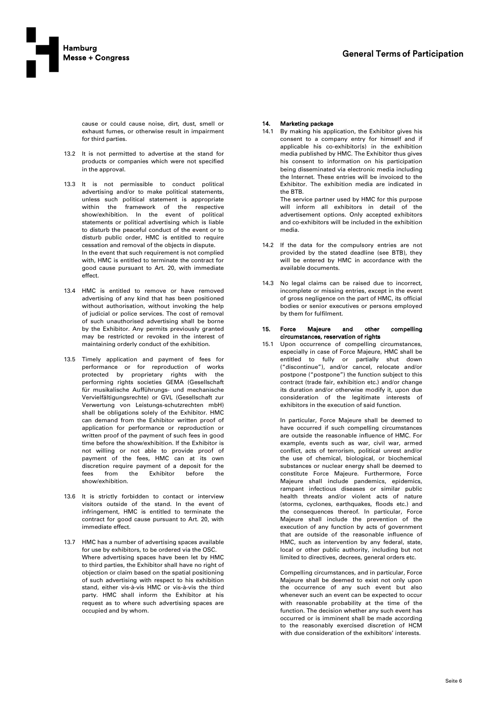cause or could cause noise, dirt, dust, smell or exhaust fumes, or otherwise result in impairment for third parties.

- 13.2 It is not permitted to advertise at the stand for products or companies which were not specified in the approval.
- 13.3 It is not permissible to conduct political advertising and/or to make political statements, unless such political statement is appropriate within the framework of the respective show/exhibition. In the event of political statements or political advertising which is liable to disturb the peaceful conduct of the event or to disturb public order, HMC is entitled to require cessation and removal of the objects in dispute. In the event that such requirement is not complied with, HMC is entitled to terminate the contract for good cause pursuant to Art. 20, with immediate effect.
- 13.4 HMC is entitled to remove or have removed advertising of any kind that has been positioned without authorisation, without invoking the help of judicial or police services. The cost of removal of such unauthorised advertising shall be borne by the Exhibitor. Any permits previously granted may be restricted or revoked in the interest of maintaining orderly conduct of the exhibition.
- 13.5 Timely application and payment of fees for performance or for reproduction of works protected by proprietary rights with the performing rights societies GEMA (Gesellschaft für musikalische Aufführungs- und mechanische Vervielfältigungsrechte) or GVL (Gesellschaft zur Verwertung von Leistungs-schutzrechten mbH) shall be obligations solely of the Exhibitor. HMC can demand from the Exhibitor written proof of application for performance or reproduction or written proof of the payment of such fees in good time before the show/exhibition. If the Exhibitor is not willing or not able to provide proof of payment of the fees, HMC can at its own discretion require payment of a deposit for the fees from the Exhibitor before the show/exhibition.
- 13.6 It is strictly forbidden to contact or interview visitors outside of the stand. In the event of infringement, HMC is entitled to terminate the contract for good cause pursuant to Art. 20, with immediate effect.
- 13.7 HMC has a number of advertising spaces available for use by exhibitors, to be ordered via the OSC. Where advertising spaces have been let by HMC to third parties, the Exhibitor shall have no right of objection or claim based on the spatial positioning of such advertising with respect to his exhibition stand, either vis-à-vis HMC or vis-à-vis the third party. HMC shall inform the Exhibitor at his request as to where such advertising spaces are occupied and by whom.

# **14. Marketing package**<br>14.1 By making his app

By making his application, the Exhibitor gives his consent to a company entry for himself and if applicable his co-exhibitor(s) in the exhibition media published by HMC. The Exhibitor thus gives his consent to information on his participation being disseminated via electronic media including the Internet. These entries will be invoiced to the Exhibitor. The exhibition media are indicated in the BTB.

The service partner used by HMC for this purpose will inform all exhibitors in detail of the advertisement options. Only accepted exhibitors and co-exhibitors will be included in the exhibition media.

- 14.2 If the data for the compulsory entries are not provided by the stated deadline (see BTB), they will be entered by HMC in accordance with the available documents.
- 14.3 No legal claims can be raised due to incorrect, incomplete or missing entries, except in the event of gross negligence on the part of HMC, its official bodies or senior executives or persons employed by them for fulfilment.

#### 15. Force Majeure and other compelling circumstances, reservation of rights

15.1 Upon occurrence of compelling circumstances, especially in case of Force Majeure, HMC shall be entitled to fully or partially shut down ("discontinue"), and/or cancel, relocate and/or postpone ("postpone") the function subject to this contract (trade fair, exhibition etc.) and/or change its duration and/or otherwise modify it, upon due consideration of the legitimate interests of exhibitors in the execution of said function.

> In particular, Force Majeure shall be deemed to have occurred if such compelling circumstances are outside the reasonable influence of HMC. For example, events such as war, civil war, armed conflict, acts of terrorism, political unrest and/or the use of chemical, biological, or biochemical substances or nuclear energy shall be deemed to constitute Force Majeure. Furthermore, Force Majeure shall include pandemics, epidemics, rampant infectious diseases or similar public health threats and/or violent acts of nature (storms, cyclones, earthquakes, floods etc.) and the consequences thereof. In particular, Force Majeure shall include the prevention of the execution of any function by acts of government that are outside of the reasonable influence of HMC, such as intervention by any federal, state, local or other public authority, including but not limited to directives, decrees, general orders etc.

> Compelling circumstances, and in particular, Force Majeure shall be deemed to exist not only upon the occurrence of any such event but also whenever such an event can be expected to occur with reasonable probability at the time of the function. The decision whether any such event has occurred or is imminent shall be made according to the reasonably exercised discretion of HCM with due consideration of the exhibitors' interests.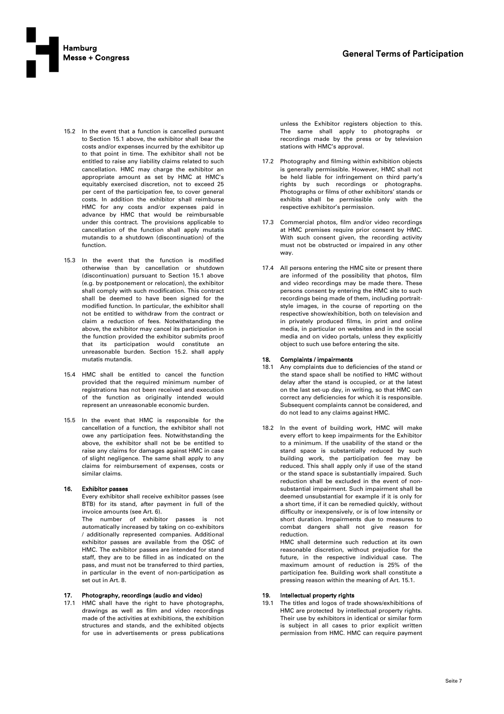

- 15.2 In the event that a function is cancelled pursuant to Section 15.1 above, the exhibitor shall bear the costs and/or expenses incurred by the exhibitor up to that point in time. The exhibitor shall not be entitled to raise any liability claims related to such cancellation. HMC may charge the exhibitor an appropriate amount as set by HMC at HMC's equitably exercised discretion, not to exceed 25 per cent of the participation fee, to cover general costs. In addition the exhibitor shall reimburse HMC for any costs and/or expenses paid in advance by HMC that would be reimbursable under this contract. The provisions applicable to cancellation of the function shall apply mutatis mutandis to a shutdown (discontinuation) of the function.
- 15.3 In the event that the function is modified otherwise than by cancellation or shutdown (discontinuation) pursuant to Section 15.1 above (e.g. by postponement or relocation), the exhibitor shall comply with such modification. This contract shall be deemed to have been signed for the modified function. In particular, the exhibitor shall not be entitled to withdraw from the contract or claim a reduction of fees. Notwithstanding the above, the exhibitor may cancel its participation in the function provided the exhibitor submits proof that its participation would constitute an unreasonable burden. Section 15.2. shall apply mutatis mutandis.
- 15.4 HMC shall be entitled to cancel the function provided that the required minimum number of registrations has not been received and execution of the function as originally intended would represent an unreasonable economic burden.
- 15.5 In the event that HMC is responsible for the cancellation of a function, the exhibitor shall not owe any participation fees. Notwithstanding the above, the exhibitor shall not be be entitled to raise any claims for damages against HMC in case of slight negligence. The same shall apply to any claims for reimbursement of expenses, costs or similar claims.

### 16. Exhibitor passes

Every exhibitor shall receive exhibitor passes (see BTB) for its stand, after payment in full of the invoice amounts (see Art. 6).

The number of exhibitor passes is not automatically increased by taking on co-exhibitors / additionally represented companies. Additional exhibitor passes are available from the OSC of HMC. The exhibitor passes are intended for stand staff, they are to be filled in as indicated on the pass, and must not be transferred to third parties, in particular in the event of non-participation as set out in Art. 8.

### 17. Photography, recordings (audio and video)

17.1 HMC shall have the right to have photographs, drawings as well as film and video recordings made of the activities at exhibitions, the exhibition structures and stands, and the exhibited objects for use in advertisements or press publications unless the Exhibitor registers objection to this. The same shall apply to photographs or recordings made by the press or by television stations with HMC's approval.

- 17.2 Photography and filming within exhibition objects is generally permissible. However, HMC shall not be held liable for infringement on third party's rights by such recordings or photographs. Photographs or films of other exhibitors' stands or exhibits shall be permissible only with the respective exhibitor's permission.
- 17.3 Commercial photos, film and/or video recordings at HMC premises require prior consent by HMC. With such consent given, the recording activity must not be obstructed or impaired in any other way.
- 17.4 All persons entering the HMC site or present there are informed of the possibility that photos, film and video recordings may be made there. These persons consent by entering the HMC site to such recordings being made of them, including portraitstyle images, in the course of reporting on the respective show/exhibition, both on television and in privately produced films, in print and online media, in particular on websites and in the social media and on video portals, unless they explicitly object to such use before entering the site.

#### 18. Complaints / impairments

- 18.1 Any complaints due to deficiencies of the stand or the stand space shall be notified to HMC without delay after the stand is occupied, or at the latest on the last set-up day, in writing, so that HMC can correct any deficiencies for which it is responsible. Subsequent complaints cannot be considered, and do not lead to any claims against HMC.
- 18.2 In the event of building work, HMC will make every effort to keep impairments for the Exhibitor to a minimum. If the usability of the stand or the stand space is substantially reduced by such building work, the participation fee may be reduced. This shall apply only if use of the stand or the stand space is substantially impaired. Such reduction shall be excluded in the event of nonsubstantial impairment. Such impairment shall be deemed unsubstantial for example if it is only for a short time, if it can be remedied quickly, without difficulty or inexpensively, or is of low intensity or short duration. Impairments due to measures to combat dangers shall not give reason for reduction.

HMC shall determine such reduction at its own reasonable discretion, without prejudice for the future, in the respective individual case. The maximum amount of reduction is 25% of the participation fee. Building work shall constitute a pressing reason within the meaning of Art. 15.1.

### 19. Intellectual property rights

19.1 The titles and logos of trade shows/exhibitions of HMC are protected by intellectual property rights. Their use by exhibitors in identical or similar form is subject in all cases to prior explicit written permission from HMC. HMC can require payment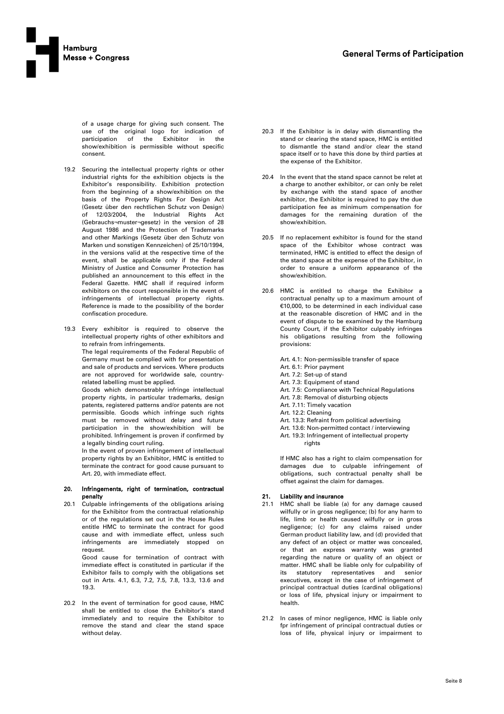

of a usage charge for giving such consent. The use of the original logo for indication of<br>participation of the Exhibitor in the participation of the Exhibitor in the show/exhibition is permissible without specific consent.

- 19.2 Securing the intellectual property rights or other industrial rights for the exhibition objects is the Exhibitor's responsibility. Exhibition protection from the beginning of a show/exhibition on the basis of the Property Rights For Design Act (Gesetz über den rechtlichen Schutz von Design) of 12/03/2004, the Industrial Rights Act (Gebrauchs¬muster¬gesetz) in the version of 28 August 1986 and the Protection of Trademarks and other Markings (Gesetz über den Schutz von Marken und sonstigen Kennzeichen) of 25/10/1994, in the versions valid at the respective time of the event, shall be applicable only if the Federal Ministry of Justice and Consumer Protection has published an announcement to this effect in the Federal Gazette. HMC shall if required inform exhibitors on the court responsible in the event of infringements of intellectual property rights. Reference is made to the possibility of the border confiscation procedure.
- 19.3 Every exhibitor is required to observe the intellectual property rights of other exhibitors and to refrain from infringements.

The legal requirements of the Federal Republic of Germany must be complied with for presentation and sale of products and services. Where products are not approved for worldwide sale, countryrelated labelling must be applied.

Goods which demonstrably infringe intellectual property rights, in particular trademarks, design patents, registered patterns and/or patents are not permissible. Goods which infringe such rights must be removed without delay and future participation in the show/exhibition will be prohibited. Infringement is proven if confirmed by a legally binding court ruling.

In the event of proven infringement of intellectual property rights by an Exhibitor, HMC is entitled to terminate the contract for good cause pursuant to Art. 20, with immediate effect.

#### 20. Infringements, right of termination, contractual penalty

20.1 Culpable infringements of the obligations arising for the Exhibitor from the contractual relationship or of the regulations set out in the House Rules entitle HMC to terminate the contract for good cause and with immediate effect, unless such infringements are immediately stopped on request.

> Good cause for termination of contract with immediate effect is constituted in particular if the Exhibitor fails to comply with the obligations set out in Arts. 4.1, 6.3, 7.2, 7.5, 7.8, 13.3, 13.6 and 19.3.

20.2 In the event of termination for good cause, HMC shall be entitled to close the Exhibitor's stand immediately and to require the Exhibitor to remove the stand and clear the stand space without delay.

- 20.3 If the Exhibitor is in delay with dismantling the stand or clearing the stand space, HMC is entitled to dismantle the stand and/or clear the stand space itself or to have this done by third parties at the expense of the Exhibitor.
- 20.4 In the event that the stand space cannot be relet at a charge to another exhibitor, or can only be relet by exchange with the stand space of another exhibitor, the Exhibitor is required to pay the due participation fee as minimum compensation for damages for the remaining duration of the show/exhibition.
- 20.5 If no replacement exhibitor is found for the stand space of the Exhibitor whose contract was terminated, HMC is entitled to effect the design of the stand space at the expense of the Exhibitor, in order to ensure a uniform appearance of the show/exhibition.
- 20.6 HMC is entitled to charge the Exhibitor a contractual penalty up to a maximum amount of €10,000, to be determined in each individual case at the reasonable discretion of HMC and in the event of dispute to be examined by the Hamburg County Court, if the Exhibitor culpably infringes his obligations resulting from the following provisions:
	- Art. 4.1: Non-permissible transfer of space
	- Art. 6.1: Prior payment
	- Art. 7.2: Set-up of stand
	- Art. 7.3: Equipment of stand
	- Art. 7.5: Compliance with Technical Regulations
	- Art. 7.8: Removal of disturbing objects
	- Art. 7.11: Timely vacation
	- Art. 12.2: Cleaning
	- Art. 13.3: Refraint from political advertising
	- Art. 13.6: Non-permitted contact / interviewing
	- Art. 19.3: Infringement of intellectual property rights

If HMC also has a right to claim compensation for damages due to culpable infringement of obligations, such contractual penalty shall be offset against the claim for damages.

## 21. Liability and insurance

- 21.1 HMC shall be liable (a) for any damage caused wilfully or in gross negligence; (b) for any harm to life, limb or health caused wilfully or in gross negligence; (c) for any claims raised under German product liability law, and (d) provided that any defect of an object or matter was concealed, or that an express warranty was granted regarding the nature or quality of an object or matter. HMC shall be liable only for culpability of its statutory representatives and senior executives, except in the case of infringement of principal contractual duties (cardinal obligations) or loss of life, physical injury or impairment to health.
- 21.2 In cases of minor negligence, HMC is liable only fpr infringement of principal contractual duties or loss of life, physical injury or impairment to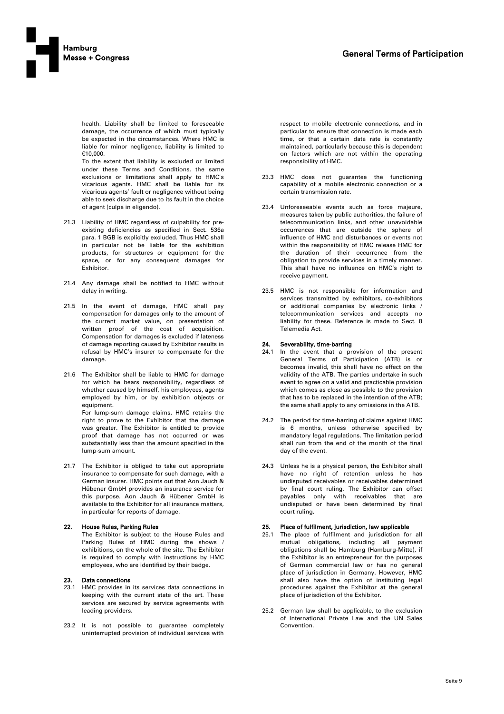

health. Liability shall be limited to foreseeable damage, the occurrence of which must typically be expected in the circumstances. Where HMC is liable for minor negligence, liability is limited to €10,000.

To the extent that liability is excluded or limited under these Terms and Conditions, the same exclusions or limitations shall apply to HMC's vicarious agents. HMC shall be liable for its vicarious agents' fault or negligence without being able to seek discharge due to its fault in the choice of agent (culpa in eligendo).

- 21.3 Liability of HMC regardless of culpability for preexisting deficiencies as specified in Sect. 536a para. 1 BGB is explicitly excluded. Thus HMC shall in particular not be liable for the exhibition products, for structures or equipment for the space, or for any consequent damages for Exhibitor.
- 21.4 Any damage shall be notified to HMC without delay in writing.
- 21.5 In the event of damage, HMC shall pay compensation for damages only to the amount of the current market value, on presentation of written proof of the cost of acquisition. Compensation for damages is excluded if lateness of damage reporting caused by Exhibitor results in refusal by HMC's insurer to compensate for the damage.
- 21.6 The Exhibitor shall be liable to HMC for damage for which he bears responsibility, regardless of whether caused by himself, his employees, agents employed by him, or by exhibition objects or equipment.

For lump-sum damage claims, HMC retains the right to prove to the Exhibitor that the damage was greater. The Exhibitor is entitled to provide proof that damage has not occurred or was substantially less than the amount specified in the lump-sum amount.

21.7 The Exhibitor is obliged to take out appropriate insurance to compensate for such damage, with a German insurer. HMC points out that Aon Jauch & Hübener GmbH provides an insurance service for this purpose. Aon Jauch & Hübener GmbH is available to the Exhibitor for all insurance matters, in particular for reports of damage.

### 22. House Rules, Parking Rules

The Exhibitor is subject to the House Rules and Parking Rules of HMC during the shows / exhibitions, on the whole of the site. The Exhibitor is required to comply with instructions by HMC employees, who are identified by their badge.

### 23. Data connections

- 23.1 HMC provides in its services data connections in keeping with the current state of the art. These services are secured by service agreements with leading providers.
- 23.2 It is not possible to guarantee completely uninterrupted provision of individual services with

respect to mobile electronic connections, and in particular to ensure that connection is made each time, or that a certain data rate is constantly maintained, particularly because this is dependent on factors which are not within the operating responsibility of HMC.

- 23.3 HMC does not guarantee the functioning capability of a mobile electronic connection or a certain transmission rate.
- 23.4 Unforeseeable events such as force majeure, measures taken by public authorities, the failure of telecommunication links, and other unavoidable occurrences that are outside the sphere of influence of HMC and disturbances or events not within the responsibility of HMC release HMC for the duration of their occurrence from the obligation to provide services in a timely manner. This shall have no influence on HMC's right to receive payment.
- 23.5 HMC is not responsible for information and services transmitted by exhibitors, co-exhibitors or additional companies by electronic links / telecommunication services and accepts no liability for these. Reference is made to Sect. 8 Telemedia Act.

### 24. Severability, time-barring

- 24.1 In the event that a provision of the present General Terms of Participation (ATB) is or becomes invalid, this shall have no effect on the validity of the ATB. The parties undertake in such event to agree on a valid and practicable provision which comes as close as possible to the provision that has to be replaced in the intention of the ATB; the same shall apply to any omissions in the ATB.
- 24.2 The period for time-barring of claims against HMC is 6 months, unless otherwise specified by mandatory legal regulations. The limitation period shall run from the end of the month of the final day of the event.
- 24.3 Unless he is a physical person, the Exhibitor shall have no right of retention unless he has undisputed receivables or receivables determined by final court ruling. The Exhibitor can offset payables only with receivables that are undisputed or have been determined by final court ruling.

# 25. Place of fulfilment, jurisdiction, law applicable

- 25.1 The place of fulfilment and jurisdiction for all mutual obligations, including all payment obligations shall be Hamburg (Hamburg-Mitte), if the Exhibitor is an entrepreneur for the purposes of German commercial law or has no general place of jurisdiction in Germany. However, HMC shall also have the option of instituting legal procedures against the Exhibitor at the general place of jurisdiction of the Exhibitor.
- 25.2 German law shall be applicable, to the exclusion of International Private Law and the UN Sales Convention.